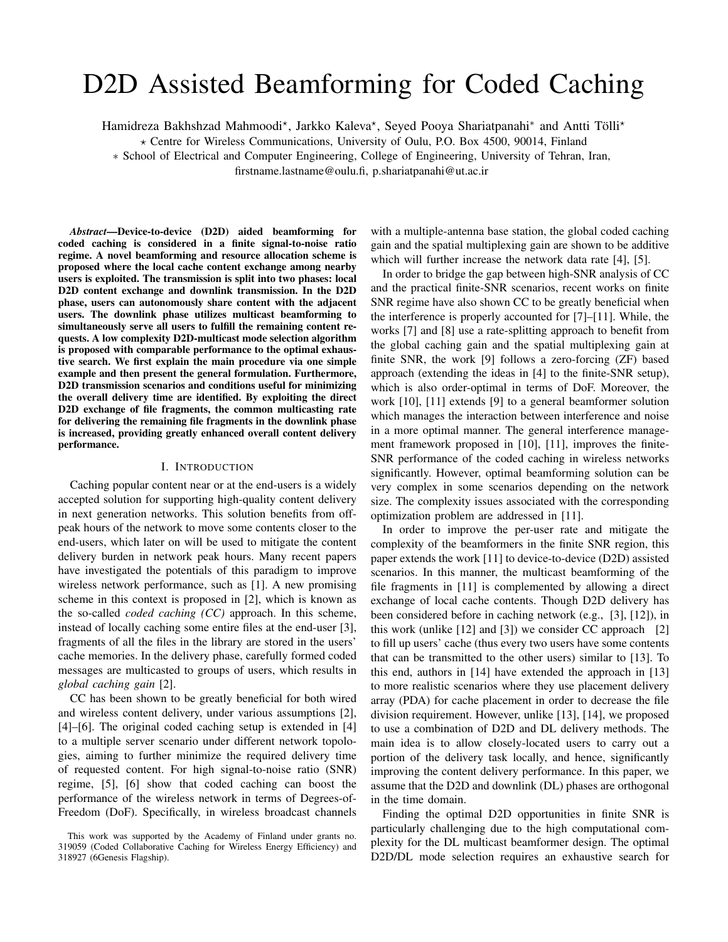# D2D Assisted Beamforming for Coded Caching

Hamidreza Bakhshzad Mahmoodi\*, Jarkko Kaleva\*, Seyed Pooya Shariatpanahi\* and Antti Tölli\*

 $\star$  Centre for Wireless Communications, University of Oulu, P.O. Box 4500, 90014, Finland

∗ School of Electrical and Computer Engineering, College of Engineering, University of Tehran, Iran,

firstname.lastname@oulu.fi, p.shariatpanahi@ut.ac.ir

*Abstract*—Device-to-device (D2D) aided beamforming for coded caching is considered in a finite signal-to-noise ratio regime. A novel beamforming and resource allocation scheme is proposed where the local cache content exchange among nearby users is exploited. The transmission is split into two phases: local D2D content exchange and downlink transmission. In the D2D phase, users can autonomously share content with the adjacent users. The downlink phase utilizes multicast beamforming to simultaneously serve all users to fulfill the remaining content requests. A low complexity D2D-multicast mode selection algorithm is proposed with comparable performance to the optimal exhaustive search. We first explain the main procedure via one simple example and then present the general formulation. Furthermore, D2D transmission scenarios and conditions useful for minimizing the overall delivery time are identified. By exploiting the direct D2D exchange of file fragments, the common multicasting rate for delivering the remaining file fragments in the downlink phase is increased, providing greatly enhanced overall content delivery performance.

### I. INTRODUCTION

Caching popular content near or at the end-users is a widely accepted solution for supporting high-quality content delivery in next generation networks. This solution benefits from offpeak hours of the network to move some contents closer to the end-users, which later on will be used to mitigate the content delivery burden in network peak hours. Many recent papers have investigated the potentials of this paradigm to improve wireless network performance, such as [1]. A new promising scheme in this context is proposed in [2], which is known as the so-called *coded caching (CC)* approach. In this scheme, instead of locally caching some entire files at the end-user [3], fragments of all the files in the library are stored in the users' cache memories. In the delivery phase, carefully formed coded messages are multicasted to groups of users, which results in *global caching gain* [2].

CC has been shown to be greatly beneficial for both wired and wireless content delivery, under various assumptions [2], [4]–[6]. The original coded caching setup is extended in [4] to a multiple server scenario under different network topologies, aiming to further minimize the required delivery time of requested content. For high signal-to-noise ratio (SNR) regime, [5], [6] show that coded caching can boost the performance of the wireless network in terms of Degrees-of-Freedom (DoF). Specifically, in wireless broadcast channels with a multiple-antenna base station, the global coded caching gain and the spatial multiplexing gain are shown to be additive which will further increase the network data rate [4], [5].

In order to bridge the gap between high-SNR analysis of CC and the practical finite-SNR scenarios, recent works on finite SNR regime have also shown CC to be greatly beneficial when the interference is properly accounted for [7]–[11]. While, the works [7] and [8] use a rate-splitting approach to benefit from the global caching gain and the spatial multiplexing gain at finite SNR, the work [9] follows a zero-forcing (ZF) based approach (extending the ideas in [4] to the finite-SNR setup), which is also order-optimal in terms of DoF. Moreover, the work [10], [11] extends [9] to a general beamformer solution which manages the interaction between interference and noise in a more optimal manner. The general interference management framework proposed in [10], [11], improves the finite-SNR performance of the coded caching in wireless networks significantly. However, optimal beamforming solution can be very complex in some scenarios depending on the network size. The complexity issues associated with the corresponding optimization problem are addressed in [11].

In order to improve the per-user rate and mitigate the complexity of the beamformers in the finite SNR region, this paper extends the work [11] to device-to-device (D2D) assisted scenarios. In this manner, the multicast beamforming of the file fragments in [11] is complemented by allowing a direct exchange of local cache contents. Though D2D delivery has been considered before in caching network (e.g., [3], [12]), in this work (unlike [12] and [3]) we consider CC approach [2] to fill up users' cache (thus every two users have some contents that can be transmitted to the other users) similar to [13]. To this end, authors in [14] have extended the approach in [13] to more realistic scenarios where they use placement delivery array (PDA) for cache placement in order to decrease the file division requirement. However, unlike [13], [14], we proposed to use a combination of D2D and DL delivery methods. The main idea is to allow closely-located users to carry out a portion of the delivery task locally, and hence, significantly improving the content delivery performance. In this paper, we assume that the D2D and downlink (DL) phases are orthogonal in the time domain.

Finding the optimal D2D opportunities in finite SNR is particularly challenging due to the high computational complexity for the DL multicast beamformer design. The optimal D2D/DL mode selection requires an exhaustive search for

This work was supported by the Academy of Finland under grants no. 319059 (Coded Collaborative Caching for Wireless Energy Efficiency) and 318927 (6Genesis Flagship).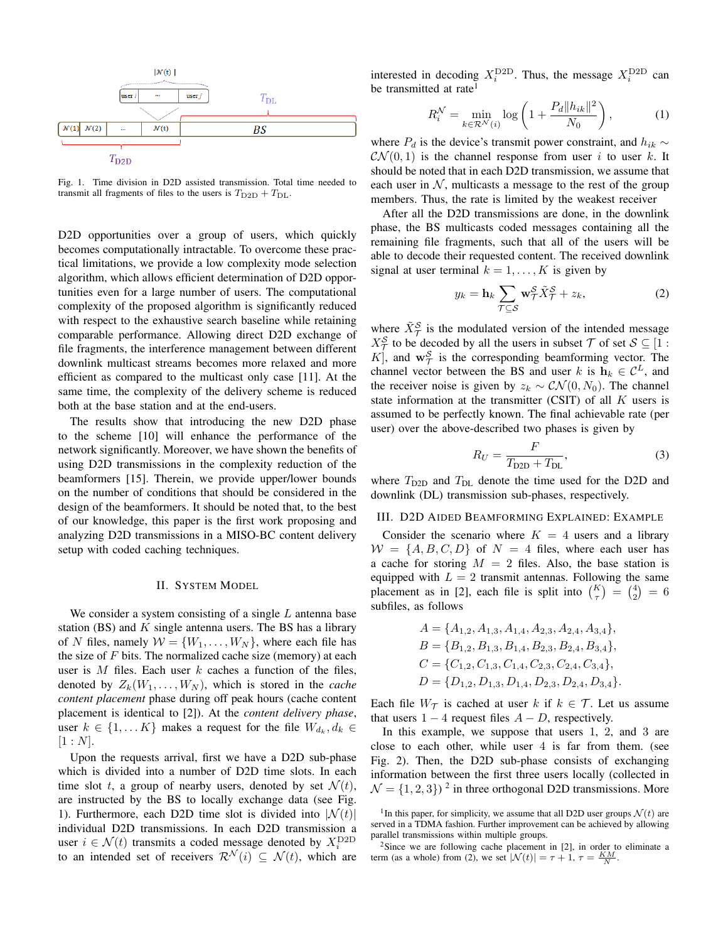

Fig. 1. Time division in D2D assisted transmission. Total time needed to transmit all fragments of files to the users is  $T_{\text{D2D}} + T_{\text{DL}}$ .

D2D opportunities over a group of users, which quickly becomes computationally intractable. To overcome these practical limitations, we provide a low complexity mode selection algorithm, which allows efficient determination of D2D opportunities even for a large number of users. The computational complexity of the proposed algorithm is significantly reduced with respect to the exhaustive search baseline while retaining comparable performance. Allowing direct D2D exchange of file fragments, the interference management between different downlink multicast streams becomes more relaxed and more efficient as compared to the multicast only case [11]. At the same time, the complexity of the delivery scheme is reduced both at the base station and at the end-users.

The results show that introducing the new D2D phase to the scheme [10] will enhance the performance of the network significantly. Moreover, we have shown the benefits of using D2D transmissions in the complexity reduction of the beamformers [15]. Therein, we provide upper/lower bounds on the number of conditions that should be considered in the design of the beamformers. It should be noted that, to the best of our knowledge, this paper is the first work proposing and analyzing D2D transmissions in a MISO-BC content delivery setup with coded caching techniques.

### II. SYSTEM MODEL

We consider a system consisting of a single  $L$  antenna base station (BS) and  $K$  single antenna users. The BS has a library of N files, namely  $W = \{W_1, \ldots, W_N\}$ , where each file has the size of  $F$  bits. The normalized cache size (memory) at each user is  $M$  files. Each user  $k$  caches a function of the files, denoted by  $Z_k(W_1, \ldots, W_N)$ , which is stored in the *cache content placement* phase during off peak hours (cache content placement is identical to [2]). At the *content delivery phase*, user  $k \in \{1, ..., K\}$  makes a request for the file  $W_{d_k}, d_k \in$  $[1 : N]$ .

Upon the requests arrival, first we have a D2D sub-phase which is divided into a number of D2D time slots. In each time slot t, a group of nearby users, denoted by set  $\mathcal{N}(t)$ , are instructed by the BS to locally exchange data (see Fig. 1). Furthermore, each D2D time slot is divided into  $|\mathcal{N}(t)|$ individual D2D transmissions. In each D2D transmission a user  $i \in \mathcal{N}(t)$  transmits a coded message denoted by  $X_i^{\text{D2D}}$ to an intended set of receivers  $\mathcal{R}^{\mathcal{N}}(i) \subseteq \mathcal{N}(t)$ , which are

interested in decoding  $X_i^{\text{D2D}}$ . Thus, the message  $X_i^{\text{D2D}}$  can be transmitted at rate

$$
R_i^{\mathcal{N}} = \min_{k \in \mathcal{R}^{\mathcal{N}}(i)} \log \left( 1 + \frac{P_d \|h_{ik}\|^2}{N_0} \right),\tag{1}
$$

where  $P_d$  is the device's transmit power constraint, and  $h_{ik} \sim$  $\mathcal{CN}(0,1)$  is the channel response from user i to user k. It should be noted that in each D2D transmission, we assume that each user in  $N$ , multicasts a message to the rest of the group members. Thus, the rate is limited by the weakest receiver

After all the D2D transmissions are done, in the downlink phase, the BS multicasts coded messages containing all the remaining file fragments, such that all of the users will be able to decode their requested content. The received downlink signal at user terminal  $k = 1, \ldots, K$  is given by

$$
y_k = \mathbf{h}_k \sum_{\mathcal{T} \subseteq \mathcal{S}} \mathbf{w}_{\mathcal{T}}^{\mathcal{S}} \tilde{X}_{\mathcal{T}}^{\mathcal{S}} + z_k,
$$
 (2)

where  $\tilde{X}^{\mathcal{S}}_{\mathcal{T}}$  is the modulated version of the intended message  $X^{\mathcal{S}}_{\mathcal{T}}$  to be decoded by all the users in subset  $\mathcal{T}$  of set  $\mathcal{S} \subseteq [1 :$ K, and  $\mathbf{w}^{\mathcal{S}}_{\mathcal{T}}$  is the corresponding beamforming vector. The channel vector between the BS and user k is  $\mathbf{h}_k \in \mathcal{C}^L$ , and the receiver noise is given by  $z_k \sim \mathcal{CN}(0, N_0)$ . The channel state information at the transmitter (CSIT) of all  $K$  users is assumed to be perfectly known. The final achievable rate (per user) over the above-described two phases is given by

$$
R_U = \frac{F}{T_{\text{D2D}} + T_{\text{DL}}},\tag{3}
$$

where  $T_{\text{D2D}}$  and  $T_{\text{DL}}$  denote the time used for the D2D and downlink (DL) transmission sub-phases, respectively.

## III. D2D AIDED BEAMFORMING EXPLAINED: EXAMPLE

Consider the scenario where  $K = 4$  users and a library  $W = \{A, B, C, D\}$  of  $N = 4$  files, where each user has a cache for storing  $M = 2$  files. Also, the base station is equipped with  $L = 2$  transmit antennas. Following the same placement as in [2], each file is split into  $\binom{K}{\tau} = \binom{4}{2} = 6$ subfiles, as follows

$$
A = \{A_{1,2}, A_{1,3}, A_{1,4}, A_{2,3}, A_{2,4}, A_{3,4}\},\
$$
  
\n
$$
B = \{B_{1,2}, B_{1,3}, B_{1,4}, B_{2,3}, B_{2,4}, B_{3,4}\},\
$$
  
\n
$$
C = \{C_{1,2}, C_{1,3}, C_{1,4}, C_{2,3}, C_{2,4}, C_{3,4}\},\
$$
  
\n
$$
D = \{D_{1,2}, D_{1,3}, D_{1,4}, D_{2,3}, D_{2,4}, D_{3,4}\}.
$$

Each file  $W_{\tau}$  is cached at user k if  $k \in \mathcal{T}$ . Let us assume that users  $1 - 4$  request files  $A - D$ , respectively.

In this example, we suppose that users 1, 2, and 3 are close to each other, while user 4 is far from them. (see Fig. 2). Then, the D2D sub-phase consists of exchanging information between the first three users locally (collected in  $\mathcal{N} = \{1, 2, 3\}$  <sup>2</sup> in three orthogonal D2D transmissions. More

<sup>&</sup>lt;sup>1</sup>In this paper, for simplicity, we assume that all D2D user groups  $\mathcal{N}(t)$  are served in a TDMA fashion. Further improvement can be achieved by allowing parallel transmissions within multiple groups.

 $2$ Since we are following cache placement in [2], in order to eliminate a term (as a whole) from (2), we set  $|\mathcal{N}(t)| = \tau + 1$ ,  $\tau = \frac{KM}{N}$ .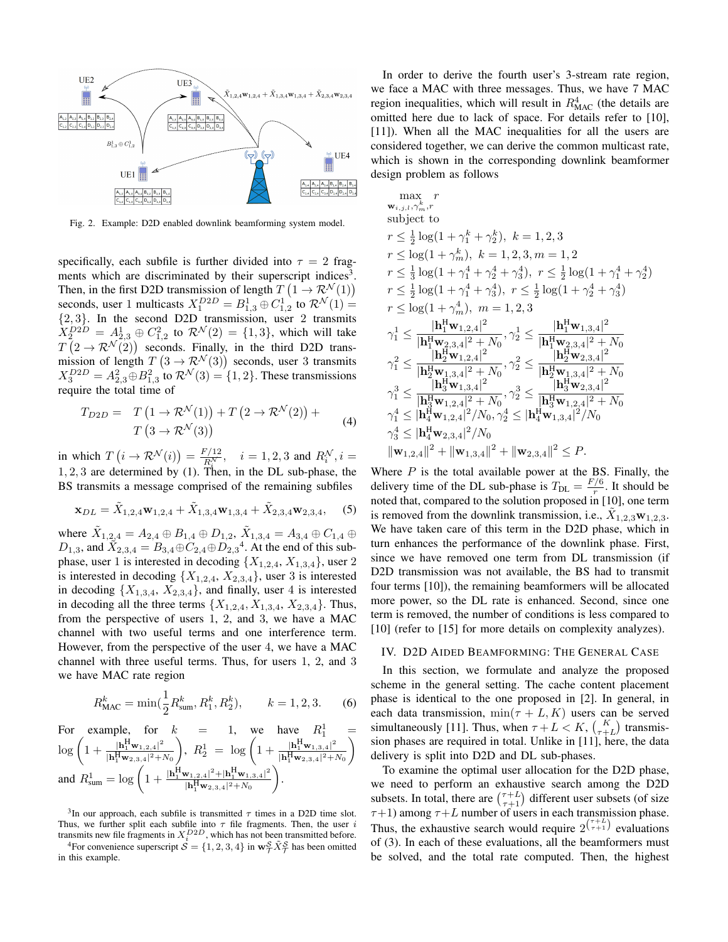

Fig. 2. Example: D2D enabled downlink beamforming system model.

specifically, each subfile is further divided into  $\tau = 2$  fragments which are discriminated by their superscript indices<sup>3</sup>. Then, in the first D2D transmission of length  $T(1 \rightarrow \mathcal{R}^{\mathcal{N}}(1))$ seconds, user 1 multicasts  $X_1^{D2D} = B_{1,3}^1 \oplus C_{1,2}^1$  to  $\mathcal{R}^{\mathcal{N}}(1) =$  ${2, 3}$ . In the second D2D transmission, user 2 transmits  $X_2^{D2D} = A_{2,3}^1 \oplus C_{1,2}^2$  to  $\mathcal{R}^{\mathcal{N}}(2) = \{1,3\}$ , which will take  $T(2 \to \mathcal{R}^{\mathcal{N}}(2))$  seconds. Finally, in the third D2D transmission of length  $T(3 \to \mathcal{R}^{\mathcal{N}}(3))$  seconds, user 3 transmits  $X_3^{D2D} = A_{2,3}^2 \oplus B_{1,3}^2$  to  $\mathcal{R}^{\mathcal{N}}(3) = \{1,2\}$ . These transmissions require the total time of

$$
T_{D2D} = T (1 \rightarrow \mathcal{R}^{\mathcal{N}}(1)) + T (2 \rightarrow \mathcal{R}^{\mathcal{N}}(2)) +
$$
  
 
$$
T (3 \rightarrow \mathcal{R}^{\mathcal{N}}(3))
$$
 (4)

in which  $T(i \to \mathcal{R}^{\mathcal{N}}(i)) = \frac{F/12}{R_i^{\mathcal{N}}}, \quad i = 1, 2, 3$  and  $R_i^{\mathcal{N}}, i =$  $1, 2, 3$  are determined by (1). Then, in the DL sub-phase, the BS transmits a message comprised of the remaining subfiles

$$
\mathbf{x}_{DL} = \tilde{X}_{1,2,4} \mathbf{w}_{1,2,4} + \tilde{X}_{1,3,4} \mathbf{w}_{1,3,4} + \tilde{X}_{2,3,4} \mathbf{w}_{2,3,4}, \quad (5)
$$

where  $\tilde{X}_{1,2,4} = A_{2,4} \oplus B_{1,4} \oplus D_{1,2}, \ \tilde{X}_{1,3,4} = A_{3,4} \oplus C_{1,4} \oplus$  $D_{1,3}$ , and  $\hat{X}_{2,3,4} = B_{3,4} \oplus C_{2,4} \oplus D_{2,3}^4$ . At the end of this subphase, user 1 is interested in decoding  $\{X_{1,2,4}, X_{1,3,4}\}$ , user 2 is interested in decoding  $\{X_{1,2,4}, X_{2,3,4}\}$ , user 3 is interested in decoding  $\{X_{1,3,4}, X_{2,3,4}\}$ , and finally, user 4 is interested in decoding all the three terms  $\{X_{1,2,4}, X_{1,3,4}, X_{2,3,4}\}$ . Thus, from the perspective of users 1, 2, and 3, we have a MAC channel with two useful terms and one interference term. However, from the perspective of the user 4, we have a MAC channel with three useful terms. Thus, for users 1, 2, and 3 we have MAC rate region

$$
R_{\text{MAC}}^k = \min(\frac{1}{2}R_{\text{sum}}^k, R_1^k, R_2^k), \qquad k = 1, 2, 3. \tag{6}
$$

For example, for  $k = 1$ , we have  $R_1^1 =$  $\log \left( 1 + \frac{|\mathbf{h}_1^{\mathrm{H}} \mathbf{w}_{1,2,4}|^2}{\mathbf{h}_1^{\mathrm{H}} \mathbf{h}_2^2} \right)$  $|\mathbf{h}_1^{\mathrm{H}} \mathbf{w}_{2,3,4}|^2 + N_0$ ),  $R_2^1 = \log \left( 1 + \frac{|\mathbf{h}_1^H \mathbf{w}_{1,3,4}|^2}{|\mathbf{h}_1^H \mathbf{w}_{2,3,4}|^2} \right)$  $|\mathbf{h}_1^\text{H}\mathbf{w}_{2,3,4}|^2 + N_0$  $\setminus$ and  $R_{\text{sum}}^1 = \log \left( 1 + \frac{|\mathbf{h}_1^H \mathbf{w}_{1,2,4}|^2 + |\mathbf{h}_1^H \mathbf{w}_{1,3,4}|^2}{|\mathbf{h}_1^H \mathbf{w}_{1,3,4}|^2 + N_0} \right)$  $|\mathbf{h}_1^\mathrm{H}\mathbf{w}_{2,3,4}|^2 + N_0$ .

<sup>3</sup>In our approach, each subfile is transmitted  $\tau$  times in a D2D time slot. Thus, we further split each subfile into  $\tau$  file fragments. Then, the user *i* transmits new file fragments in  $X_i^{D2D}$ , which has not been transmitted before.

<sup>4</sup>For convenience superscript  $S = \{1, 2, 3, 4\}$  in  $\mathbf{w}_{\mathcal{T}}^{\mathcal{S}} \tilde{X}_{\mathcal{T}}^{\mathcal{S}}$  has been omitted in this example.

In order to derive the fourth user's 3-stream rate region, we face a MAC with three messages. Thus, we have 7 MAC region inequalities, which will result in  $R<sub>MAC</sub><sup>4</sup>$  (the details are omitted here due to lack of space. For details refer to [10], [11]). When all the MAC inequalities for all the users are considered together, we can derive the common multicast rate, which is shown in the corresponding downlink beamformer design problem as follows

$$
\begin{array}{l} \displaystyle \max_{\mathbf{w}_{i,j,l},\gamma_{m}^{k},r} \\ \mbox{subject to} \\ \displaystyle r\leq \tfrac{1}{2}\log(1+\gamma_{n}^{k})\,,\,\,k=1,2,3\,,m=1,2 \\ \displaystyle r\leq \log(1+\gamma_{m}^{k})\,,\,\,k=1,2,3\,,m=1,2 \\ \displaystyle r\leq \tfrac{1}{3}\log(1+\gamma_{1}^{4}+\gamma_{2}^{4}+\gamma_{3}^{4})\,,\,\,r\leq \tfrac{1}{2}\log(1+\gamma_{1}^{4}+\gamma_{2}^{4}) \\ \displaystyle r\leq \tfrac{1}{2}\log(1+\gamma_{1}^{4}+\gamma_{3}^{4})\,,\,\,r\leq \tfrac{1}{2}\log(1+\gamma_{2}^{4}+\gamma_{3}^{4}) \\ \displaystyle r\leq \log(1+\gamma_{m}^{4})\,,\,\,m=1,2,3 \\ \displaystyle \gamma_{1}^{1}\leq \frac{|\mathbf{h}_{1}^{\text{H}}\mathbf{w}_{1,2,4}|^{2}}{|\mathbf{h}_{1}^{\text{H}}\mathbf{w}_{2,3,4}|^{2}+N_{0}}\,,\,\gamma_{2}^{1}\leq \frac{|\mathbf{h}_{1}^{\text{H}}\mathbf{w}_{1,3,4}|^{2}}{|\mathbf{h}_{1}^{\text{H}}\mathbf{w}_{2,3,4}|^{2}+N_{0}} \\ \displaystyle \gamma_{1}^{2}\leq \frac{|\mathbf{h}_{2}^{\text{H}}\mathbf{w}_{1,2,4}|^{2}}{|\mathbf{h}_{2}^{\text{H}}\mathbf{w}_{1,3,4}|^{2}+N_{0}}\,,\,\gamma_{2}^{2}\leq \frac{|\mathbf{h}_{2}^{\text{H}}\mathbf{w}_{2,3,4}|^{2}+N_{0}}{|\mathbf{h}_{2}^{\text{H}}\mathbf{w}_{2,3,4}|^{2}+N_{0}} \\ \displaystyle \gamma_{1}^{3}\leq \frac{|\mathbf{h}_{3}^{\text{H}}\mathbf{w}_{1,3,4}|^{2}}{|\mathbf{h}_{3}^{\text{H}}\mathbf{w}_{1,2,4}|^{2}+N_{0}}\,,\,\gamma_{2}^{3}\leq \frac{|\mathbf{h}_{3}^{\text{H}}\mathbf{w}_{1,3,4}|^{2
$$

Where  $P$  is the total available power at the BS. Finally, the delivery time of the DL sub-phase is  $T_{\text{DL}} = \frac{F/6}{r}$  $\frac{7}{r}$ . It should be noted that, compared to the solution proposed in [10], one term is removed from the downlink transmission, i.e.,  $\tilde{X}_{1,2,3}$   $\mathbf{w}_{1,2,3}$ . We have taken care of this term in the D2D phase, which in turn enhances the performance of the downlink phase. First, since we have removed one term from DL transmission (if D2D transmission was not available, the BS had to transmit four terms [10]), the remaining beamformers will be allocated more power, so the DL rate is enhanced. Second, since one term is removed, the number of conditions is less compared to [10] (refer to [15] for more details on complexity analyzes).

## IV. D2D AIDED BEAMFORMING: THE GENERAL CASE

In this section, we formulate and analyze the proposed scheme in the general setting. The cache content placement phase is identical to the one proposed in [2]. In general, in each data transmission,  $\min(\tau + L, K)$  users can be served simultaneously [11]. Thus, when  $\tau + L < K$ ,  $\binom{K}{\tau+L}$  transmission phases are required in total. Unlike in [11], here, the data delivery is split into D2D and DL sub-phases.

To examine the optimal user allocation for the D2D phase, we need to perform an exhaustive search among the D2D subsets. In total, there are  $\binom{\tau+L}{\tau+1}$  different user subsets (of size  $\tau+1$ ) among  $\tau+L$  number of users in each transmission phase. Thus, the exhaustive search would require  $2^{(\tau+L)}$  evaluations of (3). In each of these evaluations, all the beamformers must be solved, and the total rate computed. Then, the highest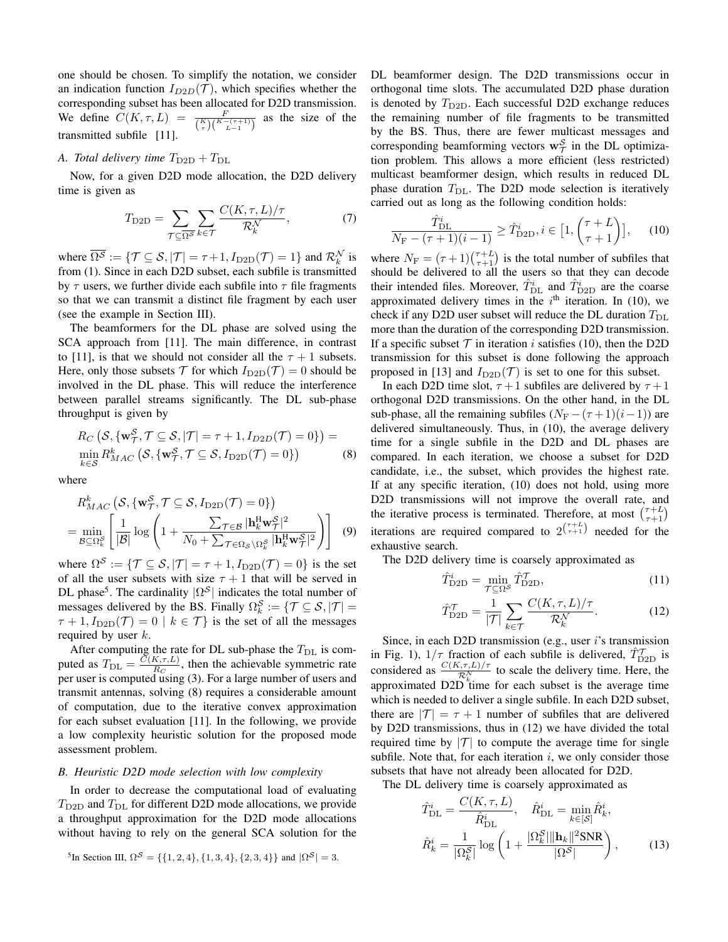one should be chosen. To simplify the notation, we consider an indication function  $I_{D2D}(\mathcal{T})$ , which specifies whether the corresponding subset has been allocated for D2D transmission. We define  $C(K,\tau,L) = \frac{F}{\binom{K}{\tau}\binom{K-(\tau+1)}{L-1}}$  as the size of the transmitted subfile [11].

## *A. Total delivery time*  $T_{\text{D2D}} + T_{\text{DL}}$

Now, for a given D2D mode allocation, the D2D delivery time is given as

$$
T_{\text{D2D}} = \sum_{\mathcal{T} \subseteq \overline{\Omega^S}} \sum_{k \in \mathcal{T}} \frac{C(K, \tau, L)/\tau}{\mathcal{R}_k^N},\tag{7}
$$

where  $\overline{\Omega^{\mathcal{S}}} := \{ \mathcal{T} \subseteq \mathcal{S}, |\mathcal{T}| = \tau + 1, I_{\text{D2D}}(\mathcal{T}) = 1 \}$  and  $\mathcal{R}_k^{\mathcal{N}}$  is from (1). Since in each D2D subset, each subfile is transmitted by  $\tau$  users, we further divide each subfile into  $\tau$  file fragments so that we can transmit a distinct file fragment by each user (see the example in Section III).

The beamformers for the DL phase are solved using the SCA approach from [11]. The main difference, in contrast to [11], is that we should not consider all the  $\tau + 1$  subsets. Here, only those subsets  $\mathcal T$  for which  $I_{\text{D2D}}(\mathcal T) = 0$  should be involved in the DL phase. This will reduce the interference between parallel streams significantly. The DL sub-phase throughput is given by

$$
R_C\left(\mathcal{S}, \{\mathbf{w}_{\mathcal{T}}^{\mathcal{S}}, \mathcal{T} \subseteq \mathcal{S}, |\mathcal{T}| = \tau + 1, I_{D2D}(\mathcal{T}) = 0\}\right) = \min_{k \in \mathcal{S}} R_{MAC}^k\left(\mathcal{S}, \{\mathbf{w}_{\mathcal{T}}^{\mathcal{S}}, \mathcal{T} \subseteq \mathcal{S}, I_{\text{D2D}}(\mathcal{T}) = 0\}\right) \tag{8}
$$

where

$$
R_{MAC}^{k}\left(\mathcal{S}, \{\mathbf{w}_{\mathcal{T}}^{\mathcal{S}}, \mathcal{T} \subseteq \mathcal{S}, I_{\text{D2D}}(\mathcal{T}) = 0\}\right)
$$
  
= 
$$
\min_{\mathcal{B} \subseteq \Omega_{k}^{\mathcal{S}}} \left[ \frac{1}{|\mathcal{B}|} \log \left( 1 + \frac{\sum_{\mathcal{T} \in \mathcal{B}} |\mathbf{h}_{k}^{\mathbf{H}} \mathbf{w}_{\mathcal{T}}^{\mathcal{S}}|^{2}}{N_{0} + \sum_{\mathcal{T} \in \Omega_{\mathcal{S}} \backslash \Omega_{k}^{\mathcal{S}}} |\mathbf{h}_{k}^{\mathbf{H}} \mathbf{w}_{\mathcal{T}}^{\mathcal{S}}|^{2}} \right) \right]
$$
(9)

where  $\Omega^{\mathcal{S}} := \{ \mathcal{T} \subseteq \mathcal{S}, |\mathcal{T}| = \tau + 1, I_{\text{D2D}}(\mathcal{T}) = 0 \}$  is the set of all the user subsets with size  $\tau + 1$  that will be served in DL phase<sup>5</sup>. The cardinality  $|\Omega^S|$  indicates the total number of messages delivered by the BS. Finally  $\Omega_k^{\mathcal{S}} := \{ \mathcal{T} \subseteq \mathcal{S}, |\mathcal{T}| =$  $\tau + 1, I_{\text{D2D}}(\mathcal{T}) = 0 | k \in \mathcal{T}$  is the set of all the messages required by user  $k$ .

After computing the rate for DL sub-phase the  $T_{\text{DL}}$  is computed as  $T_{\text{DL}} = \frac{\bar{C}(K,\tau,L)}{B_C}$  $\frac{R_{\tau}(\tau, L)}{R_{\tau}}$ , then the achievable symmetric rate per user is computed using (3). For a large number of users and transmit antennas, solving (8) requires a considerable amount of computation, due to the iterative convex approximation for each subset evaluation [11]. In the following, we provide a low complexity heuristic solution for the proposed mode assessment problem.

## *B. Heuristic D2D mode selection with low complexity*

In order to decrease the computational load of evaluating  $T_{\text{D2D}}$  and  $T_{\text{DL}}$  for different D2D mode allocations, we provide a throughput approximation for the D2D mode allocations without having to rely on the general SCA solution for the

<sup>5</sup>In Section III, 
$$
\Omega^{\mathcal{S}} = \{\{1, 2, 4\}, \{1, 3, 4\}, \{2, 3, 4\}\}\
$$
and  $|\Omega^{\mathcal{S}}| = 3$ .

DL beamformer design. The D2D transmissions occur in orthogonal time slots. The accumulated D2D phase duration is denoted by  $T_{\text{D2D}}$ . Each successful D2D exchange reduces the remaining number of file fragments to be transmitted by the BS. Thus, there are fewer multicast messages and corresponding beamforming vectors  $w^{\mathcal{S}}_{\mathcal{T}}$  in the DL optimization problem. This allows a more efficient (less restricted) multicast beamformer design, which results in reduced DL phase duration  $T_{\text{DL}}$ . The D2D mode selection is iteratively carried out as long as the following condition holds:

$$
\frac{\hat{T}_{\text{DL}}^i}{N_{\text{F}} - (\tau + 1)(i - 1)} \ge \hat{T}_{\text{D2D}}^i, i \in [1, \binom{\tau + L}{\tau + 1}], \quad (10)
$$

where  $N_F = (\tau + 1) \binom{\tau + L}{\tau + 1}$  is the total number of subfiles that should be delivered to all the users so that they can decode their intended files. Moreover,  $\hat{T}_{\text{DL}}^i$  and  $\hat{T}_{\text{D2D}}^i$  are the coarse approximated delivery times in the  $i<sup>th</sup>$  iteration. In (10), we check if any D2D user subset will reduce the DL duration  $T_{\text{DL}}$ more than the duration of the corresponding D2D transmission. If a specific subset  $T$  in iteration i satisfies (10), then the D2D transmission for this subset is done following the approach proposed in [13] and  $I_{\text{D2D}}(\mathcal{T})$  is set to one for this subset.

In each D2D time slot,  $\tau + 1$  subfiles are delivered by  $\tau + 1$ orthogonal D2D transmissions. On the other hand, in the DL sub-phase, all the remaining subfiles  $(N_F - (\tau + 1)(i - 1))$  are delivered simultaneously. Thus, in (10), the average delivery time for a single subfile in the D2D and DL phases are compared. In each iteration, we choose a subset for D2D candidate, i.e., the subset, which provides the highest rate. If at any specific iteration, (10) does not hold, using more D2D transmissions will not improve the overall rate, and the iterative process is terminated. Therefore, at most  $\binom{\tau+L}{\tau+1}$ iterations are required compared to  $2^{(\tau+L)}$  needed for the exhaustive search.

The D2D delivery time is coarsely approximated as

$$
\hat{T}_{\text{D2D}}^i = \min_{\mathcal{T} \subseteq \Omega^S} \hat{T}_{\text{D2D}}^{\mathcal{T}},\tag{11}
$$

$$
\hat{T}_{\text{D2D}}^{\mathcal{T}} = \frac{1}{|\mathcal{T}|} \sum_{k \in \mathcal{T}} \frac{C(K, \tau, L)/\tau}{\mathcal{R}_k^{\mathcal{N}}}.
$$
 (12)

Since, in each D2D transmission (e.g., user  $i$ 's transmission in Fig. 1),  $1/\tau$  fraction of each subfile is delivered,  $\hat{T}_{\text{D2D}}^{\mathcal{T}}$  is considered as  $\frac{C(K,\tau,L)/\tau}{\mathcal{R}_k^N}$  to scale the delivery time. Here, the approximated  $D2D$  time for each subset is the average time which is needed to deliver a single subfile. In each D2D subset, there are  $|\mathcal{T}| = \tau + 1$  number of subfiles that are delivered by D2D transmissions, thus in (12) we have divided the total required time by  $|T|$  to compute the average time for single subfile. Note that, for each iteration  $i$ , we only consider those subsets that have not already been allocated for D2D.

The DL delivery time is coarsely approximated as

$$
\hat{T}_{\text{DL}}^{i} = \frac{C(K, \tau, L)}{\hat{R}_{\text{DL}}^{i}}, \quad \hat{R}_{\text{DL}}^{i} = \min_{k \in [S]} \hat{R}_{k}^{i},
$$
\n
$$
\hat{R}_{k}^{i} = \frac{1}{|\Omega_{k}^{S}|} \log \left( 1 + \frac{|\Omega_{k}^{S}| \|\mathbf{h}_{k}\|^{2} \text{SNR}}{|\Omega^{S}|} \right), \quad (13)
$$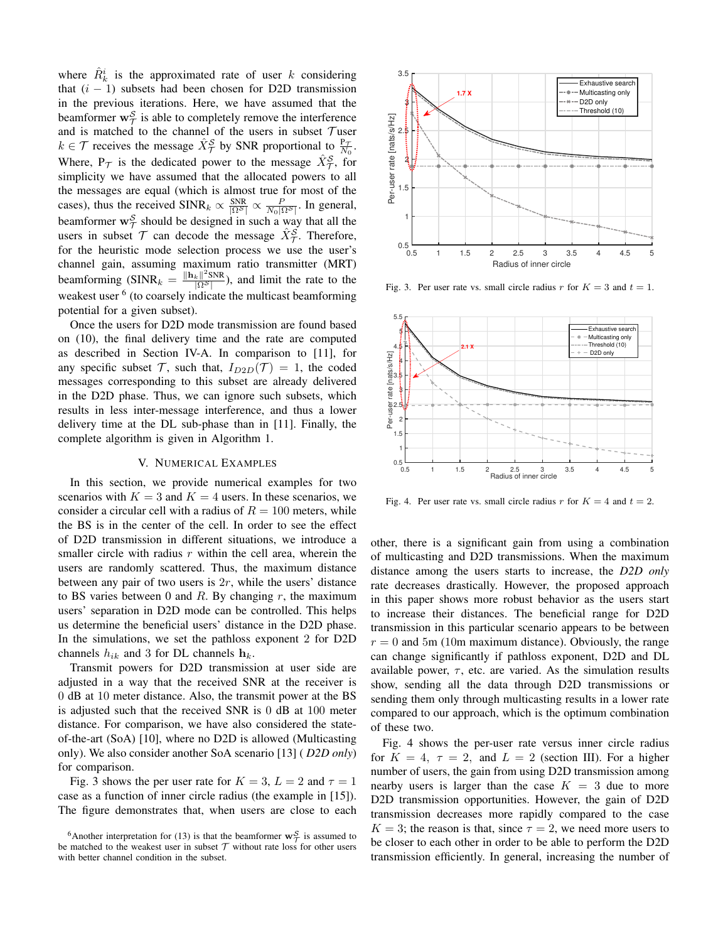where  $\hat{R}_k^i$  is the approximated rate of user k considering that  $(i - 1)$  subsets had been chosen for D2D transmission in the previous iterations. Here, we have assumed that the beamformer  $w_{\mathcal{T}}^{\mathcal{S}}$  is able to completely remove the interference and is matched to the channel of the users in subset  $\tau$  user  $k \in \mathcal{T}$  receives the message  $\hat{X}^{\mathcal{S}}_{\mathcal{T}}$  by SNR proportional to  $\frac{P_{\mathcal{T}}}{N_0}$ . Where,  $P_{\mathcal{T}}$  is the dedicated power to the message  $\hat{X}_{\mathcal{T}}^{\mathcal{S}}$ , for simplicity we have assumed that the allocated powers to all the messages are equal (which is almost true for most of the cases), thus the received SINR<sub>k</sub>  $\propto \frac{SNR}{|\Omega^S|} \propto \frac{P}{N_0 |\Omega^S|}$ . In general, beamformer  $w^S_{\mathcal{T}}$  should be designed in such a way that all the users in subset  $T$  can decode the message  $\hat{X}_{\tau}^{\hat{S}}$ . Therefore, for the heuristic mode selection process we use the user's channel gain, assuming maximum ratio transmitter (MRT) beamforming (SINR<sub>k</sub> =  $\frac{\Vert \mathbf{h}_k \Vert^2 \text{SNR}}{\sqrt{\Omega^S}}$ ), and limit the rate to the weakest user <sup>6</sup> (to coarsely indicate the multicast beamforming potential for a given subset).

Once the users for D2D mode transmission are found based on (10), the final delivery time and the rate are computed as described in Section IV-A. In comparison to [11], for any specific subset  $\mathcal{T}$ , such that,  $I_{D2D}(\mathcal{T}) = 1$ , the coded messages corresponding to this subset are already delivered in the D2D phase. Thus, we can ignore such subsets, which results in less inter-message interference, and thus a lower delivery time at the DL sub-phase than in [11]. Finally, the complete algorithm is given in Algorithm 1.

## V. NUMERICAL EXAMPLES

In this section, we provide numerical examples for two scenarios with  $K = 3$  and  $K = 4$  users. In these scenarios, we consider a circular cell with a radius of  $R = 100$  meters, while the BS is in the center of the cell. In order to see the effect of D2D transmission in different situations, we introduce a smaller circle with radius  $r$  within the cell area, wherein the users are randomly scattered. Thus, the maximum distance between any pair of two users is  $2r$ , while the users' distance to BS varies between 0 and  $R$ . By changing  $r$ , the maximum users' separation in D2D mode can be controlled. This helps us determine the beneficial users' distance in the D2D phase. In the simulations, we set the pathloss exponent 2 for D2D channels  $h_{ik}$  and 3 for DL channels  $\mathbf{h}_k$ .

Transmit powers for D2D transmission at user side are adjusted in a way that the received SNR at the receiver is 0 dB at 10 meter distance. Also, the transmit power at the BS is adjusted such that the received SNR is 0 dB at 100 meter distance. For comparison, we have also considered the stateof-the-art (SoA) [10], where no D2D is allowed (Multicasting only). We also consider another SoA scenario [13] ( *D2D only*) for comparison.

Fig. 3 shows the per user rate for  $K = 3$ ,  $L = 2$  and  $\tau = 1$ case as a function of inner circle radius (the example in [15]). The figure demonstrates that, when users are close to each



Fig. 3. Per user rate vs. small circle radius r for  $K = 3$  and  $t = 1$ .



Fig. 4. Per user rate vs. small circle radius r for  $K = 4$  and  $t = 2$ .

other, there is a significant gain from using a combination of multicasting and D2D transmissions. When the maximum distance among the users starts to increase, the *D2D only* rate decreases drastically. However, the proposed approach in this paper shows more robust behavior as the users start to increase their distances. The beneficial range for D2D transmission in this particular scenario appears to be between  $r = 0$  and 5m (10m maximum distance). Obviously, the range can change significantly if pathloss exponent, D2D and DL available power,  $\tau$ , etc. are varied. As the simulation results show, sending all the data through D2D transmissions or sending them only through multicasting results in a lower rate compared to our approach, which is the optimum combination of these two.

Fig. 4 shows the per-user rate versus inner circle radius for  $K = 4$ ,  $\tau = 2$ , and  $L = 2$  (section III). For a higher number of users, the gain from using D2D transmission among nearby users is larger than the case  $K = 3$  due to more D2D transmission opportunities. However, the gain of D2D transmission decreases more rapidly compared to the case  $K = 3$ ; the reason is that, since  $\tau = 2$ , we need more users to be closer to each other in order to be able to perform the D2D transmission efficiently. In general, increasing the number of

<sup>&</sup>lt;sup>6</sup>Another interpretation for (13) is that the beamformer  $w^S_\mathcal{T}$  is assumed to be matched to the weakest user in subset  $T$  without rate loss for other users with better channel condition in the subset.